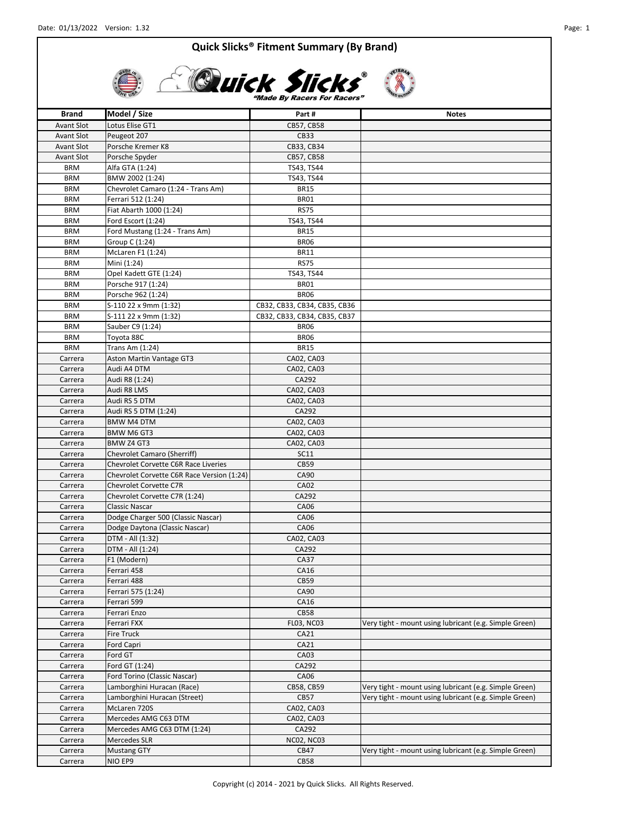

# **Elisk Slicks**

| <b>Brand</b>       | Model / Size                                                         | Part#                        | <b>Notes</b>                                           |
|--------------------|----------------------------------------------------------------------|------------------------------|--------------------------------------------------------|
| <b>Avant Slot</b>  | Lotus Elise GT1                                                      | CB57, CB58                   |                                                        |
| <b>Avant Slot</b>  | Peugeot 207                                                          | <b>CB33</b>                  |                                                        |
| <b>Avant Slot</b>  | Porsche Kremer K8                                                    | CB33, CB34                   |                                                        |
| <b>Avant Slot</b>  | Porsche Spyder                                                       | CB57, CB58                   |                                                        |
| <b>BRM</b>         | Alfa GTA (1:24)                                                      | TS43, TS44                   |                                                        |
| <b>BRM</b>         | BMW 2002 (1:24)                                                      | TS43, TS44                   |                                                        |
| <b>BRM</b>         | Chevrolet Camaro (1:24 - Trans Am)                                   | <b>BR15</b>                  |                                                        |
| <b>BRM</b>         | Ferrari 512 (1:24)                                                   | BR01                         |                                                        |
| <b>BRM</b>         | Fiat Abarth 1000 (1:24)                                              | <b>RS75</b>                  |                                                        |
| <b>BRM</b>         | Ford Escort (1:24)                                                   | TS43, TS44                   |                                                        |
| <b>BRM</b>         | Ford Mustang (1:24 - Trans Am)                                       | <b>BR15</b>                  |                                                        |
| <b>BRM</b>         | Group C (1:24)                                                       | <b>BR06</b>                  |                                                        |
| <b>BRM</b>         | McLaren F1 (1:24)                                                    | BR11                         |                                                        |
| <b>BRM</b>         | Mini (1:24)                                                          | <b>RS75</b>                  |                                                        |
| <b>BRM</b>         | Opel Kadett GTE (1:24)                                               | TS43, TS44                   |                                                        |
| <b>BRM</b>         | Porsche 917 (1:24)                                                   | BR01                         |                                                        |
| <b>BRM</b>         | Porsche 962 (1:24)                                                   | BR06                         |                                                        |
| <b>BRM</b>         | S-110 22 x 9mm (1:32)                                                | CB32, CB33, CB34, CB35, CB36 |                                                        |
| <b>BRM</b>         | S-111 22 x 9mm (1:32)                                                | CB32, CB33, CB34, CB35, CB37 |                                                        |
| <b>BRM</b>         | Sauber C9 (1:24)                                                     | <b>BR06</b>                  |                                                        |
| <b>BRM</b>         | Toyota 88C                                                           | BR06                         |                                                        |
| <b>BRM</b>         | Trans Am (1:24)                                                      | <b>BR15</b>                  |                                                        |
| Carrera            | Aston Martin Vantage GT3                                             | CA02, CA03                   |                                                        |
| Carrera            | Audi A4 DTM                                                          | CA02, CA03                   |                                                        |
| Carrera            | Audi R8 (1:24)                                                       | CA292                        |                                                        |
| Carrera            | Audi R8 LMS                                                          | CA02, CA03                   |                                                        |
| Carrera            | Audi RS 5 DTM                                                        | CA02, CA03                   |                                                        |
| Carrera            | Audi RS 5 DTM (1:24)                                                 | CA292                        |                                                        |
| Carrera            | <b>BMW M4 DTM</b>                                                    | CA02, CA03                   |                                                        |
| Carrera            | BMW M6 GT3                                                           | CA02, CA03                   |                                                        |
| Carrera            | BMW Z4 GT3                                                           | CA02, CA03                   |                                                        |
|                    | Chevrolet Camaro (Sherriff)                                          | <b>SC11</b>                  |                                                        |
| Carrera<br>Carrera | <b>Chevrolet Corvette C6R Race Liveries</b>                          | CB59                         |                                                        |
|                    |                                                                      | CA90                         |                                                        |
| Carrera            | Chevrolet Corvette C6R Race Version (1:24)<br>Chevrolet Corvette C7R | <b>CA02</b>                  |                                                        |
| Carrera            |                                                                      | CA292                        |                                                        |
| Carrera<br>Carrera | Chevrolet Corvette C7R (1:24)<br>Classic Nascar                      | CA06                         |                                                        |
|                    | Dodge Charger 500 (Classic Nascar)                                   |                              |                                                        |
| Carrera            |                                                                      | CA06<br>CA06                 |                                                        |
| Carrera            | Dodge Daytona (Classic Nascar)                                       |                              |                                                        |
| Carrera            | DTM - All (1:32)                                                     | CA02, CA03                   |                                                        |
| Carrera            | DTM - All (1:24)                                                     | CA292                        |                                                        |
| Carrera            | F1 (Modern)                                                          | CA37                         |                                                        |
| Carrera            | Ferrari 458                                                          | CA16                         |                                                        |
| Carrera            | Ferrari 488                                                          | CB59                         |                                                        |
| Carrera            | Ferrari 575 (1:24)                                                   | CA90                         |                                                        |
| Carrera            | Ferrari 599                                                          | CA16                         |                                                        |
| Carrera            | Ferrari Enzo                                                         | <b>CB58</b>                  |                                                        |
| Carrera            | Ferrari FXX                                                          | <b>FL03, NC03</b>            | Very tight - mount using lubricant (e.g. Simple Green) |
| Carrera            | Fire Truck                                                           | CA21                         |                                                        |
| Carrera            | Ford Capri                                                           | CA21                         |                                                        |
| Carrera            | Ford GT                                                              | CA03                         |                                                        |
| Carrera            | Ford GT (1:24)                                                       | CA292                        |                                                        |
| Carrera            | Ford Torino (Classic Nascar)                                         | CA06                         |                                                        |
| Carrera            | Lamborghini Huracan (Race)                                           | CB58, CB59                   | Very tight - mount using lubricant (e.g. Simple Green) |
| Carrera            | Lamborghini Huracan (Street)                                         | <b>CB57</b>                  | Very tight - mount using lubricant (e.g. Simple Green) |
| Carrera            | McLaren 720S                                                         | CA02, CA03                   |                                                        |
| Carrera            | Mercedes AMG C63 DTM                                                 | CA02, CA03                   |                                                        |
| Carrera            | Mercedes AMG C63 DTM (1:24)                                          | CA292                        |                                                        |
| Carrera            | Mercedes SLR                                                         | <b>NC02, NC03</b>            |                                                        |
| Carrera            | <b>Mustang GTY</b>                                                   | CB47                         | Very tight - mount using lubricant (e.g. Simple Green) |
| Carrera            | NIO EP9                                                              | <b>CB58</b>                  |                                                        |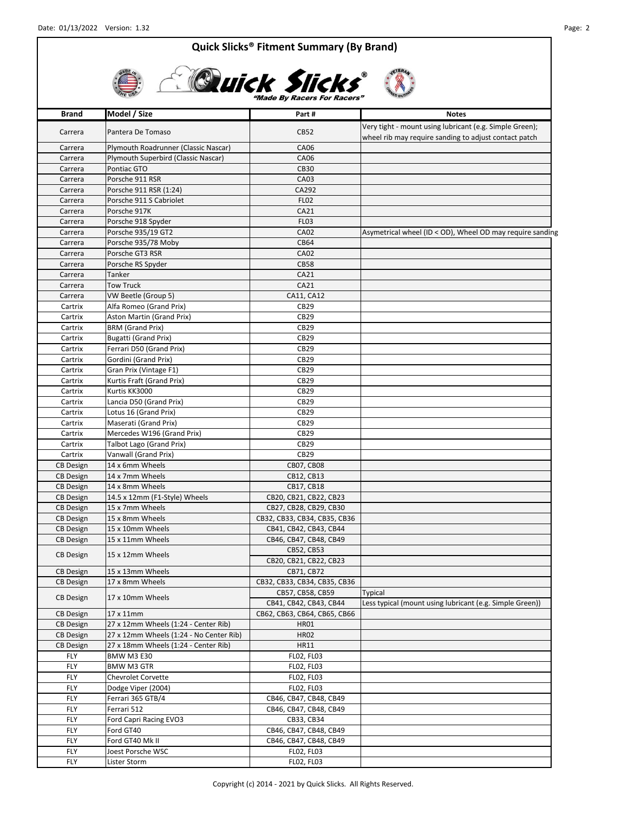

| <b>Brand</b>     | Model / Size                            | Part#                                      | <b>Notes</b>                                                                                                     |
|------------------|-----------------------------------------|--------------------------------------------|------------------------------------------------------------------------------------------------------------------|
| Carrera          | Pantera De Tomaso                       | <b>CB52</b>                                | Very tight - mount using lubricant (e.g. Simple Green);<br>wheel rib may require sanding to adjust contact patch |
| Carrera          | Plymouth Roadrunner (Classic Nascar)    | <b>CA06</b>                                |                                                                                                                  |
| Carrera          | Plymouth Superbird (Classic Nascar)     | CA06                                       |                                                                                                                  |
| Carrera          | Pontiac GTO                             | <b>CB30</b>                                |                                                                                                                  |
| Carrera          | Porsche 911 RSR                         | CA03                                       |                                                                                                                  |
| Carrera          | Porsche 911 RSR (1:24)                  | CA292                                      |                                                                                                                  |
| Carrera          | Porsche 911 S Cabriolet                 | <b>FL02</b>                                |                                                                                                                  |
| Carrera          | Porsche 917K                            | CA21                                       |                                                                                                                  |
| Carrera          | Porsche 918 Spyder                      | <b>FL03</b>                                |                                                                                                                  |
| Carrera          | Porsche 935/19 GT2                      | <b>CA02</b>                                | Asymetrical wheel (ID < OD), Wheel OD may require sanding                                                        |
| Carrera          | Porsche 935/78 Moby                     | <b>CB64</b>                                |                                                                                                                  |
| Carrera          | Porsche GT3 RSR                         | <b>CA02</b>                                |                                                                                                                  |
| Carrera          | Porsche RS Spyder                       | <b>CB58</b>                                |                                                                                                                  |
| Carrera          | Tanker                                  | CA21                                       |                                                                                                                  |
| Carrera          | <b>Tow Truck</b>                        | CA21                                       |                                                                                                                  |
| Carrera          | VW Beetle (Group 5)                     | CA11, CA12                                 |                                                                                                                  |
| Cartrix          | Alfa Romeo (Grand Prix)                 | CB29                                       |                                                                                                                  |
| Cartrix          | Aston Martin (Grand Prix)               | CB29                                       |                                                                                                                  |
| Cartrix          | <b>BRM (Grand Prix)</b>                 | CB29                                       |                                                                                                                  |
| Cartrix          | <b>Bugatti (Grand Prix)</b>             | CB29                                       |                                                                                                                  |
| Cartrix          | Ferrari D50 (Grand Prix)                | CB29                                       |                                                                                                                  |
| Cartrix          | Gordini (Grand Prix)                    | CB29                                       |                                                                                                                  |
| Cartrix          | Gran Prix (Vintage F1)                  | CB29                                       |                                                                                                                  |
| Cartrix          | Kurtis Fraft (Grand Prix)               | CB29                                       |                                                                                                                  |
| Cartrix          | Kurtis KK3000                           | CB29                                       |                                                                                                                  |
| Cartrix          | Lancia D50 (Grand Prix)                 | CB29                                       |                                                                                                                  |
| Cartrix          | Lotus 16 (Grand Prix)                   | CB29                                       |                                                                                                                  |
| Cartrix          | Maserati (Grand Prix)                   | CB29                                       |                                                                                                                  |
| Cartrix          | Mercedes W196 (Grand Prix)              | CB29                                       |                                                                                                                  |
| Cartrix          | Talbot Lago (Grand Prix)                | CB29                                       |                                                                                                                  |
| Cartrix          | Vanwall (Grand Prix)                    | CB29                                       |                                                                                                                  |
| <b>CB</b> Design | 14 x 6mm Wheels                         | CB07, CB08                                 |                                                                                                                  |
| <b>CB Design</b> | 14 x 7mm Wheels                         | CB12, CB13                                 |                                                                                                                  |
| <b>CB Design</b> | 14 x 8mm Wheels                         | CB17, CB18                                 |                                                                                                                  |
| <b>CB Design</b> | 14.5 x 12mm (F1-Style) Wheels           | CB20, CB21, CB22, CB23                     |                                                                                                                  |
| <b>CB</b> Design | 15 x 7mm Wheels                         | CB27, CB28, CB29, CB30                     |                                                                                                                  |
| <b>CB</b> Design | 15 x 8mm Wheels                         | CB32, CB33, CB34, CB35, CB36               |                                                                                                                  |
| <b>CB Design</b> | 15 x 10mm Wheels                        | CB41, CB42, CB43, CB44                     |                                                                                                                  |
| <b>CB Design</b> | 15 x 11mm Wheels                        | CB46, CB47, CB48, CB49                     |                                                                                                                  |
| <b>CB Design</b> | 15 x 12mm Wheels                        | CB52, CB53                                 |                                                                                                                  |
|                  |                                         | CB20, CB21, CB22, CB23                     |                                                                                                                  |
| <b>CB Design</b> | 15 x 13mm Wheels                        | CB71, CB72                                 |                                                                                                                  |
| <b>CB</b> Design | 17 x 8mm Wheels                         | CB32, CB33, CB34, CB35, CB36               |                                                                                                                  |
| <b>CB Design</b> | 17 x 10mm Wheels                        | CB57, CB58, CB59<br>CB41, CB42, CB43, CB44 | Typical<br>Less typical (mount using lubricant (e.g. Simple Green))                                              |
| CB Design        | 17 x 11mm                               | CB62, CB63, CB64, CB65, CB66               |                                                                                                                  |
| <b>CB Design</b> | 27 x 12mm Wheels (1:24 - Center Rib)    | <b>HR01</b>                                |                                                                                                                  |
| <b>CB Design</b> | 27 x 12mm Wheels (1:24 - No Center Rib) | <b>HR02</b>                                |                                                                                                                  |
| <b>CB Design</b> | 27 x 18mm Wheels (1:24 - Center Rib)    | HR11                                       |                                                                                                                  |
| FLY              | <b>BMW M3 E30</b>                       | FL02, FL03                                 |                                                                                                                  |
| <b>FLY</b>       | <b>BMW M3 GTR</b>                       | <b>FLO2, FLO3</b>                          |                                                                                                                  |
| FLY              | Chevrolet Corvette                      | <b>FLO2, FLO3</b>                          |                                                                                                                  |
| FLY              | Dodge Viper (2004)                      | <b>FLO2, FLO3</b>                          |                                                                                                                  |
| FLY              | Ferrari 365 GTB/4                       | CB46, CB47, CB48, CB49                     |                                                                                                                  |
| FLY              | Ferrari 512                             | CB46, CB47, CB48, CB49                     |                                                                                                                  |
| FLY              | Ford Capri Racing EVO3                  | CB33, CB34                                 |                                                                                                                  |
| FLY              | Ford GT40                               | CB46, CB47, CB48, CB49                     |                                                                                                                  |
| <b>FLY</b>       | Ford GT40 Mk II                         | CB46, CB47, CB48, CB49                     |                                                                                                                  |
| <b>FLY</b>       | Joest Porsche WSC                       | <b>FLO2, FLO3</b>                          |                                                                                                                  |
| <b>FLY</b>       | Lister Storm                            | <b>FLO2, FLO3</b>                          |                                                                                                                  |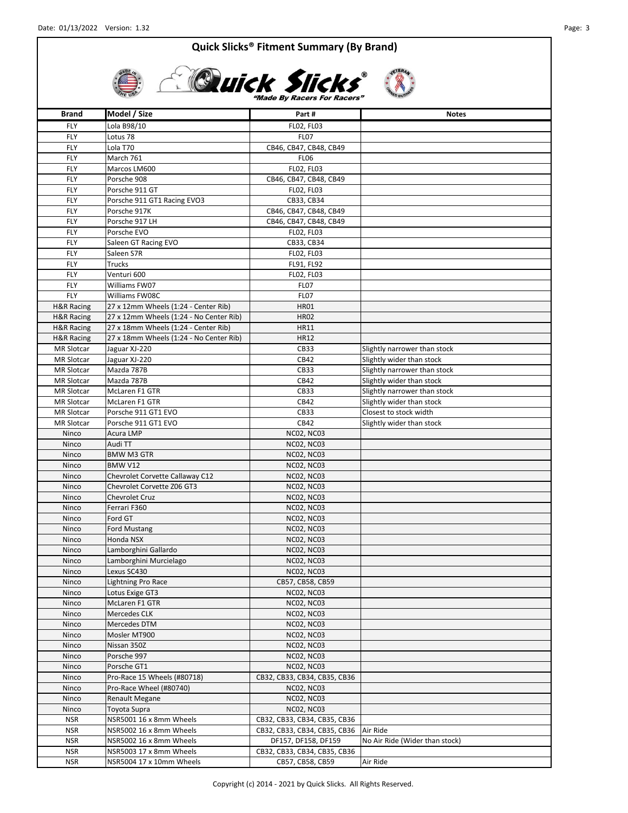

 $\frac{1}{\sqrt{2}}$ 

# **CLUICK Slicks**

| Brand                 | Model / Size                            | Part#                        | <b>Notes</b>                   |
|-----------------------|-----------------------------------------|------------------------------|--------------------------------|
| FLY                   | Lola B98/10                             | <b>FLO2, FLO3</b>            |                                |
| FLY                   | Lotus <sub>78</sub>                     | <b>FL07</b>                  |                                |
| FLY                   | Lola T70                                | CB46, CB47, CB48, CB49       |                                |
| FLY                   | March 761                               | FL <sub>06</sub>             |                                |
| FLY                   | Marcos LM600                            | <b>FLO2, FLO3</b>            |                                |
| FLY                   | Porsche 908                             | CB46, CB47, CB48, CB49       |                                |
| FLY                   | Porsche 911 GT                          | FL02, FL03                   |                                |
| FLY                   | Porsche 911 GT1 Racing EVO3             | CB33, CB34                   |                                |
| FLY                   | Porsche 917K                            | CB46, CB47, CB48, CB49       |                                |
| FLY                   | Porsche 917 LH                          | CB46, CB47, CB48, CB49       |                                |
| FLY                   | Porsche EVO                             | FL02, FL03                   |                                |
| FLY                   | Saleen GT Racing EVO                    | CB33, CB34                   |                                |
| FLY                   | Saleen S7R                              | <b>FLO2, FLO3</b>            |                                |
| FLY                   | <b>Trucks</b>                           | FL91, FL92                   |                                |
| <b>FLY</b>            | Venturi 600                             | FL02, FL03                   |                                |
| FLY                   | Williams FW07                           | <b>FL07</b>                  |                                |
| FLY                   | Williams FW08C                          | FL <sub>07</sub>             |                                |
| <b>H&amp;R Racing</b> | 27 x 12mm Wheels (1:24 - Center Rib)    | <b>HR01</b>                  |                                |
| <b>H&amp;R Racing</b> | 27 x 12mm Wheels (1:24 - No Center Rib) | <b>HR02</b>                  |                                |
| <b>H&amp;R Racing</b> | 27 x 18mm Wheels (1:24 - Center Rib)    | HR11                         |                                |
| <b>H&amp;R Racing</b> | 27 x 18mm Wheels (1:24 - No Center Rib) | <b>HR12</b>                  |                                |
| <b>MR Slotcar</b>     | Jaguar XJ-220                           | CB33                         | Slightly narrower than stock   |
| <b>MR Slotcar</b>     | Jaguar XJ-220                           | CB42                         | Slightly wider than stock      |
| <b>MR Slotcar</b>     | Mazda 787B                              | CB33                         | Slightly narrower than stock   |
| <b>MR Slotcar</b>     | Mazda 787B                              | CB42                         | Slightly wider than stock      |
| <b>MR Slotcar</b>     | McLaren F1 GTR                          | <b>CB33</b>                  | Slightly narrower than stock   |
| <b>MR Slotcar</b>     | McLaren F1 GTR                          | CB42                         | Slightly wider than stock      |
| <b>MR Slotcar</b>     | Porsche 911 GT1 EVO                     | CB33                         | Closest to stock width         |
| <b>MR Slotcar</b>     | Porsche 911 GT1 EVO                     | CB42                         | Slightly wider than stock      |
| Ninco                 | Acura LMP                               | <b>NC02, NC03</b>            |                                |
| Ninco                 | Audi TT                                 | <b>NC02, NC03</b>            |                                |
| Ninco                 | <b>BMW M3 GTR</b>                       | <b>NC02, NC03</b>            |                                |
| Ninco                 | <b>BMW V12</b>                          | <b>NC02, NC03</b>            |                                |
| Ninco                 | Chevrolet Corvette Callaway C12         | <b>NC02, NC03</b>            |                                |
| Ninco                 | Chevrolet Corvette Z06 GT3              | <b>NC02, NC03</b>            |                                |
| Ninco                 | <b>Chevrolet Cruz</b>                   | <b>NC02, NC03</b>            |                                |
| Ninco                 | Ferrari F360                            | <b>NC02, NC03</b>            |                                |
| Ninco                 | Ford GT                                 | <b>NC02, NC03</b>            |                                |
| Ninco                 | <b>Ford Mustang</b>                     | <b>NC02, NC03</b>            |                                |
| Ninco                 | Honda NSX                               | <b>NC02, NC03</b>            |                                |
| Ninco                 | Lamborghini Gallardo                    | <b>NC02, NC03</b>            |                                |
| Ninco                 | Lamborghini Murcielago                  | <b>NC02, NC03</b>            |                                |
| Ninco                 | Lexus SC430                             | <b>NC02, NC03</b>            |                                |
| Ninco                 | <b>Lightning Pro Race</b>               | CB57, CB58, CB59             |                                |
| Ninco                 | Lotus Exige GT3                         | <b>NC02, NC03</b>            |                                |
| Ninco                 | McLaren F1 GTR                          | <b>NC02, NC03</b>            |                                |
| Ninco                 | Mercedes CLK                            | <b>NC02, NC03</b>            |                                |
| Ninco                 | Mercedes DTM                            | <b>NC02, NC03</b>            |                                |
| Ninco                 | Mosler MT900                            | <b>NC02, NC03</b>            |                                |
| Ninco                 | Nissan 350Z                             | <b>NC02, NC03</b>            |                                |
| Ninco                 | Porsche 997                             | <b>NC02, NC03</b>            |                                |
| Ninco                 | Porsche GT1                             | <b>NC02, NC03</b>            |                                |
| Ninco                 | Pro-Race 15 Wheels (#80718)             | CB32, CB33, CB34, CB35, CB36 |                                |
| Ninco                 | Pro-Race Wheel (#80740)                 | <b>NC02, NC03</b>            |                                |
| Ninco                 | <b>Renault Megane</b>                   | <b>NC02, NC03</b>            |                                |
| Ninco                 | Toyota Supra                            | <b>NC02, NC03</b>            |                                |
| <b>NSR</b>            | NSR5001 16 x 8mm Wheels                 | CB32, CB33, CB34, CB35, CB36 |                                |
| <b>NSR</b>            | NSR5002 16 x 8mm Wheels                 | CB32, CB33, CB34, CB35, CB36 | Air Ride                       |
| <b>NSR</b>            | NSR5002 16 x 8mm Wheels                 | DF157, DF158, DF159          | No Air Ride (Wider than stock) |
| NSR                   | NSR5003 17 x 8mm Wheels                 | CB32, CB33, CB34, CB35, CB36 |                                |
| <b>NSR</b>            | NSR5004 17 x 10mm Wheels                | CB57, CB58, CB59             | Air Ride                       |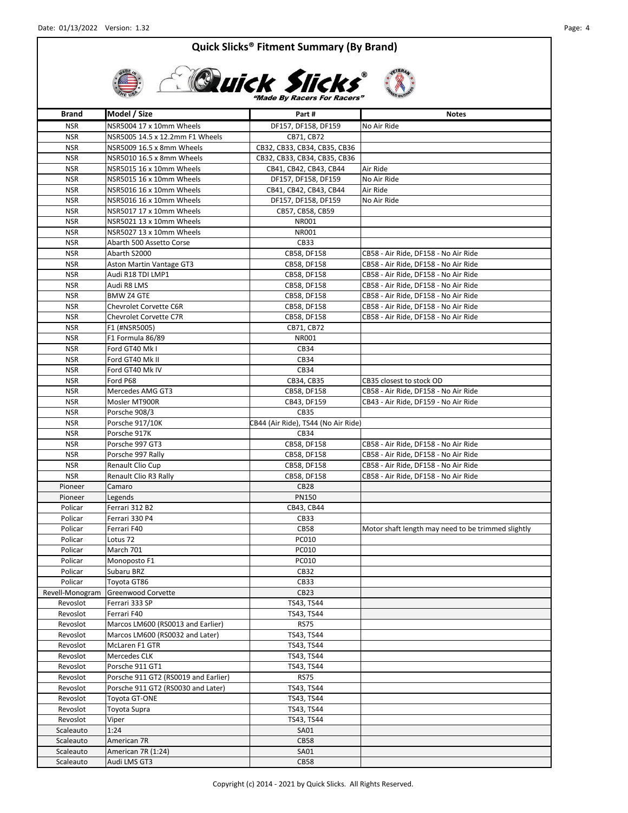

| Brand                  | Model / Size                                            | Part#                               | <b>Notes</b>                                       |
|------------------------|---------------------------------------------------------|-------------------------------------|----------------------------------------------------|
| <b>NSR</b>             | NSR5004 17 x 10mm Wheels                                | DF157, DF158, DF159                 | No Air Ride                                        |
| <b>NSR</b>             | NSR5005 14.5 x 12.2mm F1 Wheels                         | CB71, CB72                          |                                                    |
| <b>NSR</b>             | NSR5009 16.5 x 8mm Wheels                               | CB32, CB33, CB34, CB35, CB36        |                                                    |
| <b>NSR</b>             | NSR5010 16.5 x 8mm Wheels                               | CB32, CB33, CB34, CB35, CB36        |                                                    |
| <b>NSR</b>             | NSR5015 16 x 10mm Wheels                                | CB41, CB42, CB43, CB44              | Air Ride                                           |
| <b>NSR</b>             | NSR5015 16 x 10mm Wheels                                | DF157, DF158, DF159                 | No Air Ride                                        |
| <b>NSR</b>             | NSR5016 16 x 10mm Wheels                                | CB41, CB42, CB43, CB44              | Air Ride                                           |
| <b>NSR</b>             | NSR5016 16 x 10mm Wheels                                | DF157, DF158, DF159                 | No Air Ride                                        |
| <b>NSR</b>             | NSR5017 17 x 10mm Wheels                                | CB57, CB58, CB59                    |                                                    |
| <b>NSR</b>             | NSR5021 13 x 10mm Wheels                                | NR001                               |                                                    |
| <b>NSR</b>             | NSR5027 13 x 10mm Wheels                                | <b>NR001</b>                        |                                                    |
| <b>NSR</b>             | Abarth 500 Assetto Corse                                | CB33                                |                                                    |
| <b>NSR</b>             | Abarth S2000                                            | CB58, DF158                         | CB58 - Air Ride, DF158 - No Air Ride               |
| <b>NSR</b>             | Aston Martin Vantage GT3                                | CB58, DF158                         | CB58 - Air Ride, DF158 - No Air Ride               |
| <b>NSR</b>             | Audi R18 TDI LMP1                                       | CB58, DF158                         | CB58 - Air Ride, DF158 - No Air Ride               |
| <b>NSR</b>             | Audi R8 LMS                                             | CB58, DF158                         | CB58 - Air Ride, DF158 - No Air Ride               |
| <b>NSR</b>             | <b>BMW Z4 GTE</b>                                       | CB58, DF158                         | CB58 - Air Ride, DF158 - No Air Ride               |
| <b>NSR</b>             | Chevrolet Corvette C6R                                  | CB58, DF158                         | CB58 - Air Ride, DF158 - No Air Ride               |
| <b>NSR</b>             | Chevrolet Corvette C7R                                  | CB58, DF158                         | CB58 - Air Ride, DF158 - No Air Ride               |
| <b>NSR</b>             | F1 (#NSR5005)                                           | CB71, CB72                          |                                                    |
| <b>NSR</b>             | F1 Formula 86/89                                        | NR001                               |                                                    |
| <b>NSR</b>             | Ford GT40 Mk I                                          | CB34                                |                                                    |
| <b>NSR</b>             | Ford GT40 Mk II                                         | CB34                                |                                                    |
| <b>NSR</b>             | Ford GT40 Mk IV                                         | CB34                                |                                                    |
| <b>NSR</b>             | Ford P68                                                | CB34, CB35                          | CB35 closest to stock OD                           |
| <b>NSR</b>             | Mercedes AMG GT3                                        | CB58, DF158                         | CB58 - Air Ride, DF158 - No Air Ride               |
| <b>NSR</b>             | Mosler MT900R                                           | CB43, DF159                         | CB43 - Air Ride, DF159 - No Air Ride               |
| <b>NSR</b>             | Porsche 908/3                                           | <b>CB35</b>                         |                                                    |
| <b>NSR</b>             | Porsche 917/10K                                         | CB44 (Air Ride), TS44 (No Air Ride) |                                                    |
| <b>NSR</b>             | Porsche 917K                                            | CB34                                |                                                    |
| <b>NSR</b>             | Porsche 997 GT3                                         | CB58, DF158                         | CB58 - Air Ride, DF158 - No Air Ride               |
| <b>NSR</b>             | Porsche 997 Rally                                       | CB58, DF158                         | CB58 - Air Ride, DF158 - No Air Ride               |
| <b>NSR</b>             | Renault Clio Cup                                        | CB58, DF158                         | CB58 - Air Ride, DF158 - No Air Ride               |
| <b>NSR</b>             | Renault Clio R3 Rally                                   | CB58, DF158                         | CB58 - Air Ride, DF158 - No Air Ride               |
| Pioneer                | Camaro                                                  | CB <sub>28</sub>                    |                                                    |
| Pioneer                | Legends                                                 | PN150                               |                                                    |
| Policar                | Ferrari 312 B2                                          | CB43, CB44                          |                                                    |
| Policar                | Ferrari 330 P4                                          | CB33                                |                                                    |
| Policar                | Ferrari F40                                             | CB58                                | Motor shaft length may need to be trimmed slightly |
| Policar                | Lotus 72                                                | PC010                               |                                                    |
| Policar                | March 701                                               | PC010                               |                                                    |
| Policar                | Monoposto F1                                            | PC010                               |                                                    |
| Policar                | Subaru BRZ                                              | CB32                                |                                                    |
| Policar                | Toyota GT86                                             | CB33                                |                                                    |
| Revell-Monogram        | Greenwood Corvette                                      | CB <sub>23</sub>                    |                                                    |
| Revoslot               | Ferrari 333 SP                                          | TS43, TS44                          |                                                    |
| Revoslot               | Ferrari F40                                             | TS43, TS44                          |                                                    |
| Revoslot               | Marcos LM600 (RS0013 and Earlier)                       | <b>RS75</b>                         |                                                    |
| Revoslot               | Marcos LM600 (RS0032 and Later)                         | TS43, TS44                          |                                                    |
| Revoslot               | McLaren F1 GTR                                          | TS43, TS44                          |                                                    |
| Revoslot               | Mercedes CLK                                            | TS43, TS44                          |                                                    |
| Revoslot               | Porsche 911 GT1<br>Porsche 911 GT2 (RS0019 and Earlier) | TS43, TS44<br>R <sub>S</sub>        |                                                    |
| Revoslot               |                                                         |                                     |                                                    |
| Revoslot<br>Revoslot   | Porsche 911 GT2 (RS0030 and Later)<br>Toyota GT-ONE     | TS43, TS44                          |                                                    |
|                        |                                                         | TS43, TS44                          |                                                    |
| Revoslot<br>Revoslot   | Toyota Supra<br>Viper                                   | TS43, TS44<br>TS43, TS44            |                                                    |
|                        | 1:24                                                    |                                     |                                                    |
| Scaleauto              | American 7R                                             | <b>SA01</b><br><b>CB58</b>          |                                                    |
| Scaleauto<br>Scaleauto | American 7R (1:24)                                      | SA01                                |                                                    |
|                        | Audi LMS GT3                                            | <b>CB58</b>                         |                                                    |
| Scaleauto              |                                                         |                                     |                                                    |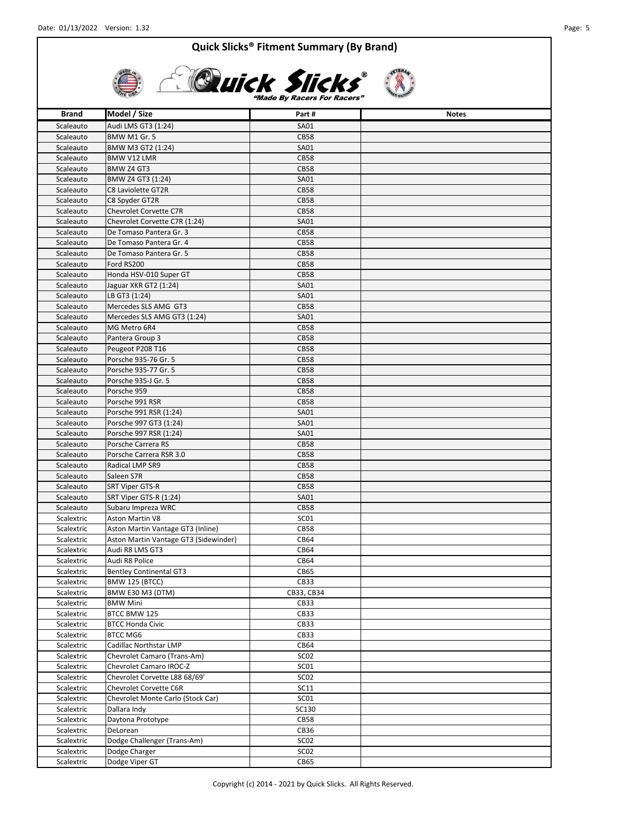

| <b>Brand</b>             | Model / Size                                 | Part#                      | <b>Notes</b> |
|--------------------------|----------------------------------------------|----------------------------|--------------|
| Scaleauto                | Audi LMS GT3 (1:24)                          | SA01                       |              |
| Scaleauto                | <b>BMW M1 Gr. 5</b>                          | <b>CB58</b>                |              |
| Scaleauto                | BMW M3 GT2 (1:24)                            | SA01                       |              |
| Scaleauto                | <b>BMW V12 LMR</b>                           | <b>CB58</b>                |              |
| Scaleauto                | BMW Z4 GT3                                   | <b>CB58</b>                |              |
| Scaleauto                | BMW Z4 GT3 (1:24)                            | SA01                       |              |
| Scaleauto                | C8 Laviolette GT2R                           | <b>CB58</b>                |              |
| Scaleauto                | C8 Spyder GT2R                               | <b>CB58</b>                |              |
| Scaleauto                | Chevrolet Corvette C7R                       | <b>CB58</b>                |              |
| Scaleauto                | Chevrolet Corvette C7R (1:24)                | SA01                       |              |
| Scaleauto                | De Tomaso Pantera Gr. 3                      | <b>CB58</b>                |              |
| Scaleauto                | De Tomaso Pantera Gr. 4                      | <b>CB58</b>                |              |
| Scaleauto                | De Tomaso Pantera Gr. 5                      | <b>CB58</b>                |              |
| Scaleauto                | Ford RS200                                   | <b>CB58</b>                |              |
| Scaleauto                | Honda HSV-010 Super GT                       | <b>CB58</b>                |              |
| Scaleauto                | Jaguar XKR GT2 (1:24)                        | SA01                       |              |
| Scaleauto                | LB GT3 (1:24)                                | SA01                       |              |
| Scaleauto                | Mercedes SLS AMG GT3                         | <b>CB58</b>                |              |
| Scaleauto                | Mercedes SLS AMG GT3 (1:24)                  | SA01                       |              |
| Scaleauto                | MG Metro 6R4                                 | <b>CB58</b>                |              |
| Scaleauto                | Pantera Group 3                              | <b>CB58</b>                |              |
| Scaleauto                | Peugeot P208 T16                             | <b>CB58</b><br><b>CB58</b> |              |
| Scaleauto<br>Scaleauto   | Porsche 935-76 Gr. 5<br>Porsche 935-77 Gr. 5 | <b>CB58</b>                |              |
| Scaleauto                | Porsche 935-J Gr. 5                          | <b>CB58</b>                |              |
| Scaleauto                | Porsche 959                                  | <b>CB58</b>                |              |
| Scaleauto                | Porsche 991 RSR                              | <b>CB58</b>                |              |
| Scaleauto                | Porsche 991 RSR (1:24)                       | SA01                       |              |
| Scaleauto                | Porsche 997 GT3 (1:24)                       | SA01                       |              |
| Scaleauto                | Porsche 997 RSR (1:24)                       | SA01                       |              |
| Scaleauto                | Porsche Carrera RS                           | <b>CB58</b>                |              |
| Scaleauto                | Porsche Carrera RSR 3.0                      | <b>CB58</b>                |              |
| Scaleauto                | Radical LMP SR9                              | <b>CB58</b>                |              |
| Scaleauto                | Saleen S7R                                   | <b>CB58</b>                |              |
| Scaleauto                | SRT Viper GTS-R                              | <b>CB58</b>                |              |
| Scaleauto                | SRT Viper GTS-R (1:24)                       | SA01                       |              |
| Scaleauto                | Subaru Impreza WRC                           | <b>CB58</b>                |              |
| Scalextric               | <b>Aston Martin V8</b>                       | SC01                       |              |
| Scalextric               | Aston Martin Vantage GT3 (Inline)            | <b>CB58</b>                |              |
| Scalextric               | Aston Martin Vantage GT3 (Sidewinder)        | CB64                       |              |
| Scalextric               | Audi R8 LMS GT3                              | CB64                       |              |
| Scalextric               | Audi R8 Police                               | CB64                       |              |
| Scalextric               | <b>Bentley Continental GT3</b>               | CB65                       |              |
| Scalextric               | <b>BMW 125 (BTCC)</b>                        | CB33                       |              |
| Scalextric               | <b>BMW E30 M3 (DTM)</b><br><b>BMW Mini</b>   | CB33, CB34<br>CB33         |              |
| Scalextric<br>Scalextric | BTCC BMW 125                                 | CB33                       |              |
| Scalextric               | <b>BTCC Honda Civic</b>                      | CB33                       |              |
| Scalextric               | <b>BTCC MG6</b>                              | CB33                       |              |
| Scalextric               | Cadillac Northstar LMP                       | CB64                       |              |
| Scalextric               | Chevrolet Camaro (Trans-Am)                  | SC <sub>02</sub>           |              |
| Scalextric               | Chevrolet Camaro IROC-Z                      | SC01                       |              |
| Scalextric               | Chevrolet Corvette L88 68/69'                | SCO <sub>2</sub>           |              |
| Scalextric               | Chevrolet Corvette C6R                       | SC11                       |              |
| Scalextric               | Chevrolet Monte Carlo (Stock Car)            | SC01                       |              |
| Scalextric               | Dallara Indy                                 | SC130                      |              |
| Scalextric               | Daytona Prototype                            | <b>CB58</b>                |              |
| Scalextric               | DeLorean                                     | CB36                       |              |
| Scalextric               | Dodge Challenger (Trans-Am)                  | SC <sub>02</sub>           |              |
| Scalextric               | Dodge Charger                                | SCO <sub>2</sub>           |              |
| Scalextric               | Dodge Viper GT                               | CB65                       |              |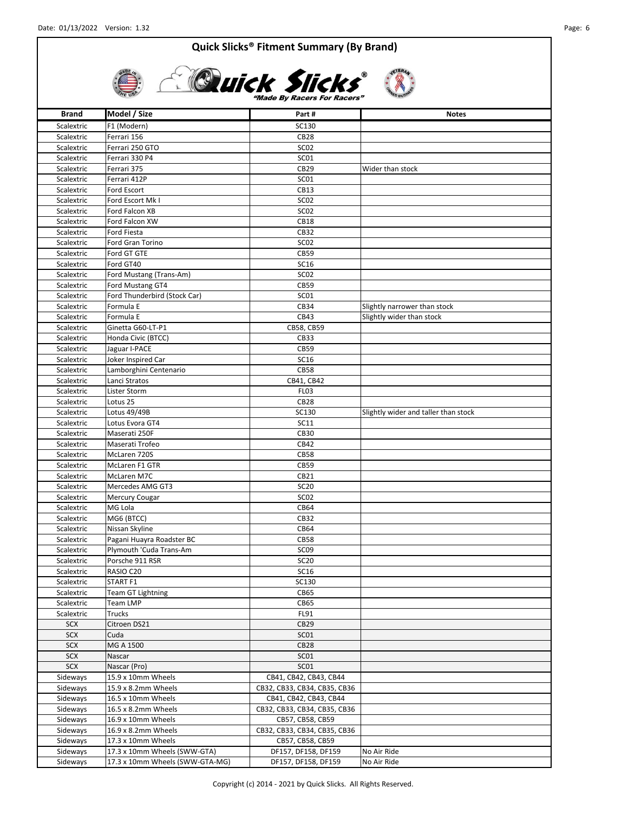

# **Quick Slicks Made By Racers For Racers**

**Brand Model / Size Part # Part # Part # Notes** Scalextric F1 (Modern) SC130 Scalextric Ferrari 156 CB28 Scalextric Ferrari 250 GTO SC02 Scalextric Ferrari 330 P4 SC01 Scalextric Ferrari 375 CB29 Wider than stock Scalextric Ferrari 412P SC01 Scalextric Ford Escort CB13 Scalextric Ford Escort Mk I SC02 Scalextric Ford Falcon XB SC02 Scalextric Ford Falcon XW CB18 Scalextric Ford Fiesta CB32 Scalextric Ford Gran Torino Formula SC02 Scalextric Ford GT GTE CB59 Scalextric Ford GT40 SC16 Scalextric Ford Mustang (Trans-Am) SC02 Scalextric Ford Mustang GT4 Form 1 CB59 Scalextric Ford Thunderbird (Stock Car) SC01 Scalextric Formula E CB34 Scalextric Formula E Scalextric Formula E CB43 Slightly wider than stock Scalextric Ginetta G60-LT-P1 CB58, CB59 Scalextric Honda Civic (BTCC) CB33 Scalextric Jaguar I-PACE CB59 Scalextric Joker Inspired Car SC16 Scalextric Lamborghini Centenario CB58 Scalextric Lanci Stratos CB41, CB42 Scalextric Lister Storm **FL03** Scalextric Lotus 25 CB28 Scalextric Lotus 49/49B SC130 Subset Scalextric Lotus 49/49B Scalextric Lotus Evora GT4 SC11 Scalextric Maserati 250F CB30 Scalextric Maserati Trofeo CB42 Scalextric McLaren 720S CB58 Scalextric McLaren F1 GTR CB59 Scalextric McLaren M7C CB21 Scalextric Mercedes AMG GT3 SC20 Scalextric Mercury Cougar News 2002 Scalextric MG Lola **CB64** Scalextric MG6 (BTCC) CB32 Scalextric Nissan Skyline CB64 Scalextric Pagani Huayra Roadster BC CB58 Scalextric Plymouth 'Cuda Trans-Am SCO9 Scalextric Porsche 911 RSR SC20 Scalextric RASIO C20 SC16 Scalextric START F1 SC130 Scalextric Team GT Lightning Team CB65 Scalextric Team LMP CB65 Scalextric Trucks FL91 SCX Citroen DS21 CR29 SCX Cuda SCO1 SCX MG A 1500 CB28 SCX Nascar Nascar SCO1 SCX Nascar (Pro) SC01 Sideways 15.9 x 10mm Wheels CB41, CB41, CB42, CB43, CB44 Sideways 15.9 x 8.2mm Wheels CB32, CB32, CB33, CB34, CB35, CB36 Sideways 16.5 x 10mm Wheels CB41, CB41, CB42, CB43, CB44 Sideways 16.5 x 8.2mm Wheels CB32, CB32, CB33, CB34, CB35, CB36 Sideways 16.9 x 10mm Wheels CB57, CB58, CB59 Sideways 16.9 x 8.2mm Wheels CB32, CB33, CB34, CB35, CB36 Sideways 17.3 x 10mm Wheels CB57, CB58, CB59 Sideways | 17.3 x 10mm Wheels (SWW-GTA) DF157, DF158, DF159 | No Air Ride Sideways 17.3 x 10mm Wheels (SWW-GTA-MG) DF157, DF158, DF159 No Air Ride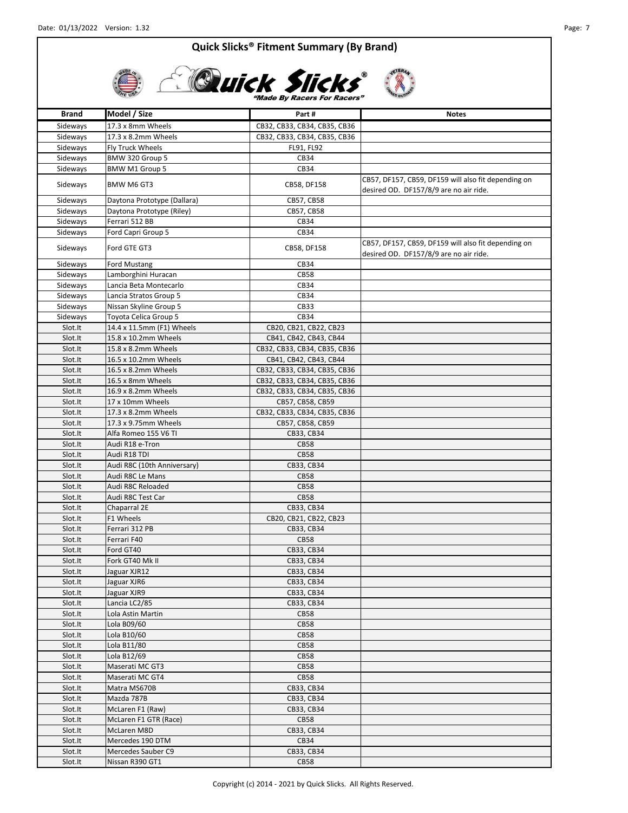

# **ADUICK SIICKS**

| <b>Brand</b> | Model / Size                | Part#                        | <b>Notes</b>                                                                                  |
|--------------|-----------------------------|------------------------------|-----------------------------------------------------------------------------------------------|
| Sideways     | 17.3 x 8mm Wheels           | CB32, CB33, CB34, CB35, CB36 |                                                                                               |
| Sideways     | 17.3 x 8.2mm Wheels         | CB32, CB33, CB34, CB35, CB36 |                                                                                               |
| Sideways     | Fly Truck Wheels            | FL91, FL92                   |                                                                                               |
| Sideways     | BMW 320 Group 5             | CB34                         |                                                                                               |
| Sideways     | BMW M1 Group 5              | CB34                         |                                                                                               |
| Sideways     | BMW M6 GT3                  | CB58, DF158                  | CB57, DF157, CB59, DF159 will also fit depending on<br>desired OD. DF157/8/9 are no air ride. |
| Sideways     | Daytona Prototype (Dallara) | CB57, CB58                   |                                                                                               |
| Sideways     | Daytona Prototype (Riley)   | CB57, CB58                   |                                                                                               |
| Sideways     | Ferrari 512 BB              | CB34                         |                                                                                               |
| Sideways     | Ford Capri Group 5          | CB34                         |                                                                                               |
| Sideways     | Ford GTE GT3                | CB58, DF158                  | CB57, DF157, CB59, DF159 will also fit depending on<br>desired OD. DF157/8/9 are no air ride. |
| Sideways     | <b>Ford Mustang</b>         | CB34                         |                                                                                               |
| Sideways     | Lamborghini Huracan         | <b>CB58</b>                  |                                                                                               |
| Sideways     | Lancia Beta Montecarlo      | CB34                         |                                                                                               |
| Sideways     | Lancia Stratos Group 5      | CB34                         |                                                                                               |
| Sideways     | Nissan Skyline Group 5      | CB33                         |                                                                                               |
| Sideways     | Toyota Celica Group 5       | CB34                         |                                                                                               |
| Slot.It      | 14.4 x 11.5mm (F1) Wheels   | CB20, CB21, CB22, CB23       |                                                                                               |
| Slot.It      | 15.8 x 10.2mm Wheels        | CB41, CB42, CB43, CB44       |                                                                                               |
| Slot.It      | 15.8 x 8.2mm Wheels         | CB32, CB33, CB34, CB35, CB36 |                                                                                               |
| Slot.It      | 16.5 x 10.2mm Wheels        | CB41, CB42, CB43, CB44       |                                                                                               |
| Slot.It      | 16.5 x 8.2mm Wheels         | CB32, CB33, CB34, CB35, CB36 |                                                                                               |
| Slot.It      | 16.5 x 8mm Wheels           | CB32, CB33, CB34, CB35, CB36 |                                                                                               |
| Slot.It      | 16.9 x 8.2mm Wheels         | CB32, CB33, CB34, CB35, CB36 |                                                                                               |
| Slot.It      | 17 x 10mm Wheels            | CB57, CB58, CB59             |                                                                                               |
| Slot.It      | 17.3 x 8.2mm Wheels         | CB32, CB33, CB34, CB35, CB36 |                                                                                               |
| Slot.It      | 17.3 x 9.75mm Wheels        | CB57, CB58, CB59             |                                                                                               |
| Slot.It      | Alfa Romeo 155 V6 TI        | CB33, CB34                   |                                                                                               |
| Slot.It      | Audi R18 e-Tron             | <b>CB58</b>                  |                                                                                               |
| Slot.It      | Audi R18 TDI                | <b>CB58</b>                  |                                                                                               |
| Slot.It      | Audi R8C (10th Anniversary) | CB33, CB34                   |                                                                                               |
| Slot.It      | Audi R8C Le Mans            | <b>CB58</b>                  |                                                                                               |
| Slot.It      | Audi R8C Reloaded           | <b>CB58</b>                  |                                                                                               |
| Slot.It      | Audi R8C Test Car           | <b>CB58</b>                  |                                                                                               |
| Slot.It      | Chaparral 2E                | CB33, CB34                   |                                                                                               |
| Slot.It      | F1 Wheels                   | CB20, CB21, CB22, CB23       |                                                                                               |
| Slot.It      | Ferrari 312 PB              | CB33, CB34                   |                                                                                               |
| Slot.It      | Ferrari F40                 | <b>CB58</b>                  |                                                                                               |
| Slot.It      | Ford GT40                   | CB33, CB34                   |                                                                                               |
| Slot.It      | Fork GT40 Mk II             | CB33, CB34                   |                                                                                               |
| Slot.It      | Jaguar XJR12                | CB33, CB34                   |                                                                                               |
| Slot.It      | Jaguar XJR6                 | CB33, CB34                   |                                                                                               |
| Slot.It      | Jaguar XJR9                 | CB33, CB34                   |                                                                                               |
| Slot.It      | Lancia LC2/85               | CB33, CB34                   |                                                                                               |
| Slot.It      | Lola Astin Martin           | <b>CB58</b>                  |                                                                                               |
| Slot.It      | Lola B09/60                 | <b>CB58</b>                  |                                                                                               |
| Slot.It      | Lola B10/60                 | <b>CB58</b>                  |                                                                                               |
| Slot.It      | Lola B11/80                 | <b>CB58</b>                  |                                                                                               |
| Slot.It      | Lola B12/69                 | <b>CB58</b>                  |                                                                                               |
| Slot.It      | Maserati MC GT3             | <b>CB58</b>                  |                                                                                               |
| Slot.It      | Maserati MC GT4             | <b>CB58</b>                  |                                                                                               |
| Slot.It      | Matra MS670B                | CB33, CB34                   |                                                                                               |
| Slot.It      | Mazda 787B                  | CB33, CB34                   |                                                                                               |
| Slot.It      | McLaren F1 (Raw)            | CB33, CB34                   |                                                                                               |
| Slot.It      | McLaren F1 GTR (Race)       | <b>CB58</b>                  |                                                                                               |
| Slot.It      | McLaren M8D                 | CB33, CB34                   |                                                                                               |
| Slot.It      | Mercedes 190 DTM            | CB34                         |                                                                                               |
| Slot.It      | Mercedes Sauber C9          | CB33, CB34                   |                                                                                               |
| Slot.It      | Nissan R390 GT1             | <b>CB58</b>                  |                                                                                               |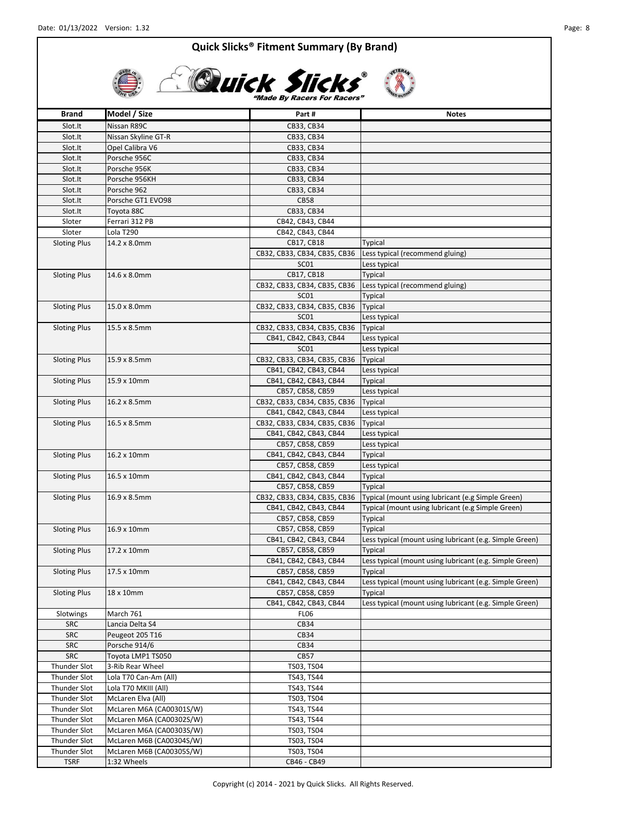

# **CLUICK Slicks**

**Brand Model / Size Part # Part # Part # Notes** Slot.It Nissan R89C CB33, CB34 Slot.It Nissan Skyline GT-R CB33, CB34 Slot.It | Opel Calibra V6 | CB33, CB34 Slot.It Porsche 956C CB33, CB34 Slot.It Porsche 956K CB33, CB34 Slot.It Porsche 956KH CB33, CB34 Slot.It Porsche 962 CB33, CB34 Slot.It Porsche GT1 EVO98 CB58 Slot.It Toyota 88C CB33, CB34 Sloter | Ferrari 312 PB CB42, CB43, CB44 Sloter Lola T290 CB42, CB43, CB44 CB17, CB18 Typical CB32, CB33, CB34, CB35, CB36 Less typical (recommend gluing) SC01 Less typical CB17, CB18 Typical CB32, CB33, CB34, CB35, CB36 Less typical (recommend gluing) SC01 Typical CB32, CB33, CB34, CB35, CB36 Typical SC01 Less typical CB32, CB33, CB34, CB35, CB36 Typical CB41, CB42, CB43, CB44 Less typical SC01 Less typical CB32, CB33, CB34, CB35, CB36 Typical CB41, CB42, CB43, CB44 Less typical CB41, CB42, CB43, CB44 Typical CB57, CB58, CB59 Less typical CB32, CB33, CB34, CB35, CB36 Typical CB41, CB42, CB43, CB44 Less typical CB32, CB33, CB34, CB35, CB36 Typical CB41, CB42, CB43, CB44 Less typical CB57, CB58, CB59 Less typical CB41, CB42, CB43, CB44 Typical CB57, CB58, CB59 Less typical CB41, CB42, CB43, CB44 Typical CB57, CB58, CB59 Typical CB32, CB33, CB34, CB35, CB36 | Typical (mount using lubricant (e.g Simple Green) CB41, CB42, CB43, CB44 Typical (mount using lubricant (e.g Simple Green) CB57, CB58, CB59 Typical CB57, CB58, CB59 Typical CB41, CB42, CB43, CB44 Less typical (mount using lubricant (e.g. Simple Green) CB57, CB58, CB59 Typical CB41, CB42, CB43, CB44 Less typical (mount using lubricant (e.g. Simple Green) CB57, CB58, CB59 Typical CB41, CB42, CB43, CB44 Less typical (mount using lubricant (e.g. Simple Green) CB57, CB58, CB59 Typical CB41, CB42, CB43, CB44 Less typical (mount using lubricant (e.g. Simple Green) Slotwings March 761 FL06 SRC Lancia Delta S4 CB34 SRC Peugeot 205 T16 CB34 SRC Porsche 914/6 CB34 SRC | Toyota LMP1 TS050 CB57 Thunder Slot 3-Rib Rear Wheel TS03, TS04 Thunder Slot Lola T70 Can-Am (All) TS43, TS44 Thunder Slot | Lola T70 MKIII (All) | TS43, TS44 Thunder Slot McLaren Elva (All) TS03, TS04 Thunder Slot | McLaren M6A (CA00301S/W) | TS43, TS44 Thunder Slot | McLaren M6A (CA00302S/W) | TS43, TS44 Thunder Slot | McLaren M6A (CA00303S/W) | TS03, TS04 Thunder Slot | McLaren M6B (CA00304S/W) | TS03, TS04 Thunder Slot | McLaren M6B (CA00305S/W) | TS03, TS04 TSRF 1:32 Wheels CB46 - CB49 Sloting Plus | 14.2 x 8.0mm Sloting Plus | 14.6 x 8.0mm Sloting Plus 15.0 x 8.0mm Sloting Plus 15.5 x 8.5mm Sloting Plus 15.9 x 8.5mm Sloting Plus | 16.9 x 8.5mm Sloting Plus 15.9 x 10mm Sloting Plus | 16.2 x 8.5mm Sloting Plus 16.5 x 8.5mm Sloting Plus | 18 x 10mm Sloting Plus 16.9 x 10mm Sloting Plus 17.2 x 10mm Sloting Plus | 17.5 x 10mm Sloting Plus 16.2 x 10mm Sloting Plus | 16.5 x 10mm